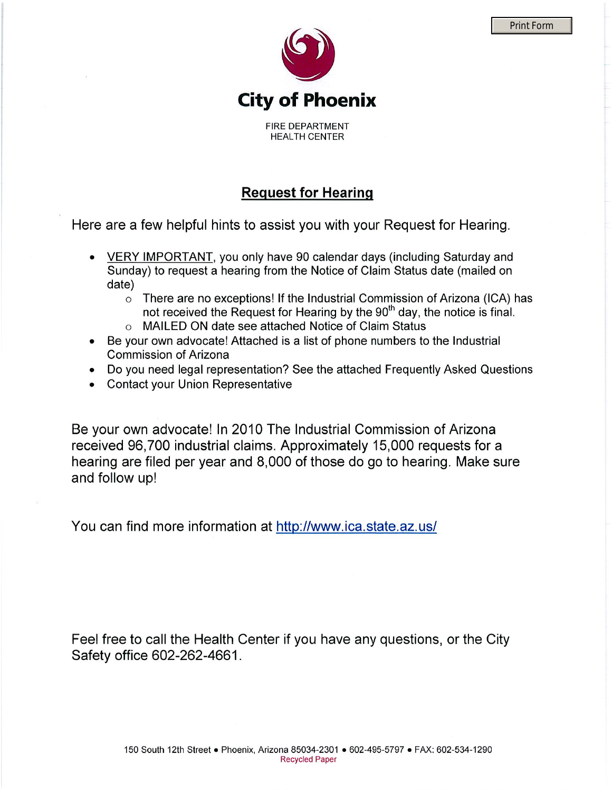

## **Print Form**

**Request for Hearing** 

Here are a few helpful hints to assist you with your Request for Hearing.

- VERY IMPORTANT, you only have 90 calendar days (including Saturday and Sunday) to request a hearing from the Notice of Claim Status date (mailed on date)
	- $\circ$  There are no exceptions! If the Industrial Commission of Arizona (ICA) has not received the Request for Hearing by the 90<sup>th</sup> day, the notice is final.
	- o MAILED ON date see attached Notice of Claim Status
- Be your own advocate! Attached is a list of phone numbers to the Industrial **Commission of Arizona**
- Do you need legal representation? See the attached Frequently Asked Questions
- Contact your Union Representative

Be your own advocate! In 2010 The Industrial Commission of Arizona received 96,700 industrial claims. Approximately 15,000 requests for a hearing are filed per year and 8,000 of those do go to hearing. Make sure and follow up!

You can find more information at http://www.ica.state.az.us/

Feel free to call the Health Center if you have any questions, or the City Safety office 602-262-4661.